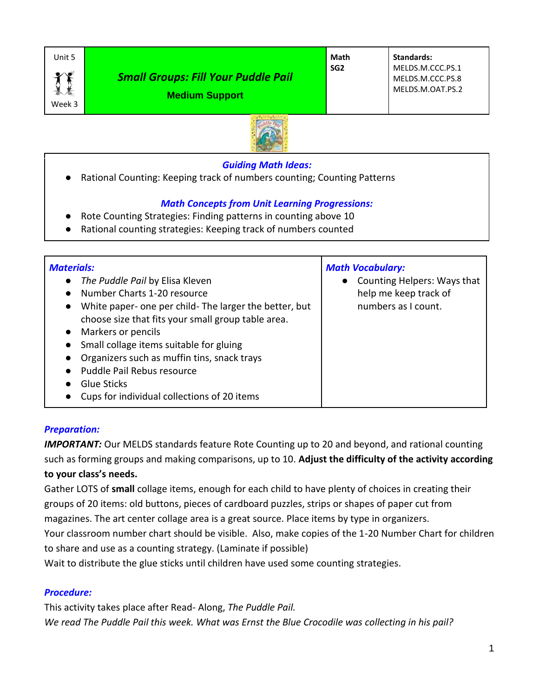

Week 3

# *Small Groups: Fill Your Puddle Pail*

**Math SG2**

**Standards:** MELDS.M.CCC.PS.1 MELDS.M.CCC.PS.8 MELDS.M.OAT.PS.2





### *Guiding Math Ideas:*

Rational Counting: Keeping track of numbers counting; Counting Patterns

## *Math Concepts from Unit Learning Progressions:*

- Rote Counting Strategies: Finding patterns in counting above 10
- Rational counting strategies: Keeping track of numbers counted

| <b>Materials:</b><br>The Puddle Pail by Elisa Kleven<br>Number Charts 1-20 resource<br>White paper- one per child-The larger the better, but<br>$\bullet$<br>choose size that fits your small group table area.<br>Markers or pencils<br>Small collage items suitable for gluing<br>Organizers such as muffin tins, snack trays<br>Puddle Pail Rebus resource<br>Glue Sticks<br>Cups for individual collections of 20 items | <b>Math Vocabulary:</b><br>Counting Helpers: Ways that<br>help me keep track of<br>numbers as I count. |
|-----------------------------------------------------------------------------------------------------------------------------------------------------------------------------------------------------------------------------------------------------------------------------------------------------------------------------------------------------------------------------------------------------------------------------|--------------------------------------------------------------------------------------------------------|
|-----------------------------------------------------------------------------------------------------------------------------------------------------------------------------------------------------------------------------------------------------------------------------------------------------------------------------------------------------------------------------------------------------------------------------|--------------------------------------------------------------------------------------------------------|

### *Preparation:*

*IMPORTANT:* Our MELDS standards feature Rote Counting up to 20 and beyond, and rational counting such as forming groups and making comparisons, up to 10. **Adjust the difficulty of the activity according to your class's needs.**

Gather LOTS of **small** collage items, enough for each child to have plenty of choices in creating their groups of 20 items: old buttons, pieces of cardboard puzzles, strips or shapes of paper cut from magazines. The art center collage area is a great source. Place items by type in organizers. Your classroom number chart should be visible. Also, make copies of the 1-20 Number Chart for children

to share and use as a counting strategy. (Laminate if possible)

Wait to distribute the glue sticks until children have used some counting strategies.

## *Procedure:*

This activity takes place after Read- Along, *The Puddle Pail. We read The Puddle Pail this week. What was Ernst the Blue Crocodile was collecting in his pail?*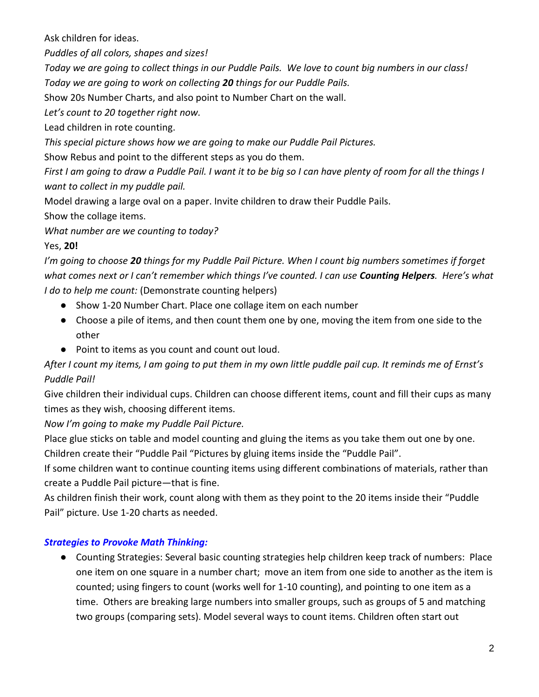Ask children for ideas.

*Puddles of all colors, shapes and sizes!*

*Today we are going to collect things in our Puddle Pails. We love to count big numbers in our class! Today we are going to work on collecting 20 things for our Puddle Pails.*

Show 20s Number Charts, and also point to Number Chart on the wall.

*Let's count to 20 together right now.*

Lead children in rote counting.

*This special picture shows how we are going to make our Puddle Pail Pictures.*

Show Rebus and point to the different steps as you do them.

*First I am going to draw a Puddle Pail. I want it to be big so I can have plenty of room for all the things I want to collect in my puddle pail.*

Model drawing a large oval on a paper. Invite children to draw their Puddle Pails.

Show the collage items.

*What number are we counting to today?* 

## Yes, **20!**

*I'm going to choose 20 things for my Puddle Pail Picture. When I count big numbers sometimes if forget what comes next or I can't remember which things I've counted. I can use Counting Helpers. Here's what I do to help me count:* (Demonstrate counting helpers)

- Show 1-20 Number Chart. Place one collage item on each number
- Choose a pile of items, and then count them one by one, moving the item from one side to the other
- Point to items as you count and count out loud.

*After I count my items, I am going to put them in my own little puddle pail cup. It reminds me of Ernst's Puddle Pail!* 

Give children their individual cups. Children can choose different items, count and fill their cups as many times as they wish, choosing different items.

*Now I'm going to make my Puddle Pail Picture.*

Place glue sticks on table and model counting and gluing the items as you take them out one by one. Children create their "Puddle Pail "Pictures by gluing items inside the "Puddle Pail".

If some children want to continue counting items using different combinations of materials, rather than create a Puddle Pail picture—that is fine.

As children finish their work, count along with them as they point to the 20 items inside their "Puddle Pail" picture. Use 1-20 charts as needed.

## *Strategies to Provoke Math Thinking:*

● Counting Strategies: Several basic counting strategies help children keep track of numbers: Place one item on one square in a number chart; move an item from one side to another as the item is counted; using fingers to count (works well for 1-10 counting), and pointing to one item as a time. Others are breaking large numbers into smaller groups, such as groups of 5 and matching two groups (comparing sets). Model several ways to count items. Children often start out